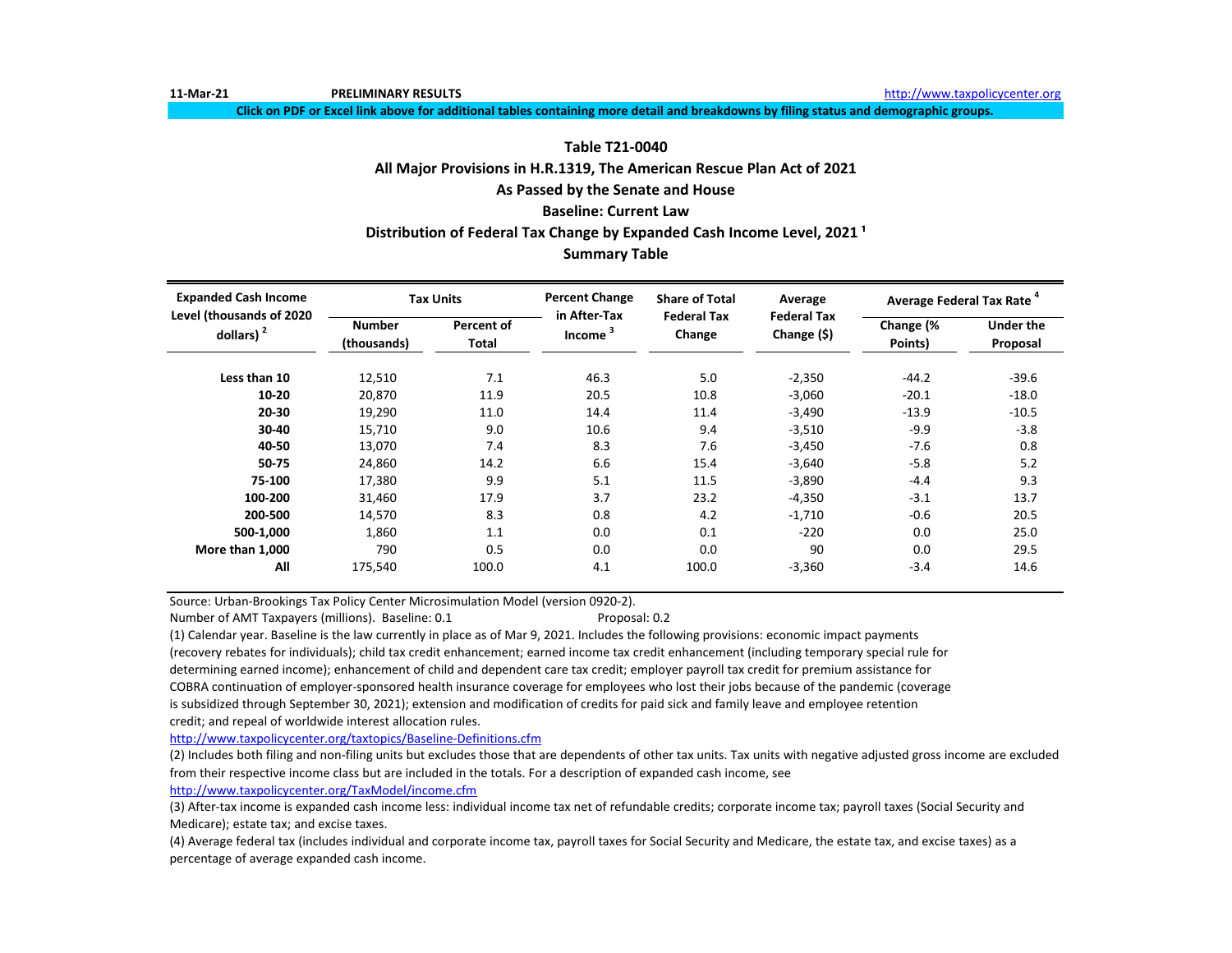**11-Mar-21 PRELIMINARY RESULTS** [http://www.t](http://www.taxpolicycenter.org/)axpolicycenter.org

**Click on PDF or Excel link above for additional tables containing more detail and breakdowns by filing status and demographic groups.**

# **All Major Provisions in H.R.1319, The American Rescue Plan Act of 2021 As Passed by the Senate and House Baseline: Current Law Table T21-0040 Distribution of Federal Tax Change by Expanded Cash Income Level, 2021 ¹**

## **Summary Table**

| <b>Expanded Cash Income</b><br>Level (thousands of 2020 |                              | <b>Tax Units</b>    | <b>Percent Change</b><br>in After-Tax | <b>Share of Total</b>        | Average                           | Average Federal Tax Rate |                              |
|---------------------------------------------------------|------------------------------|---------------------|---------------------------------------|------------------------------|-----------------------------------|--------------------------|------------------------------|
| dollars) $2$                                            | <b>Number</b><br>(thousands) | Percent of<br>Total | <b>Income</b>                         | <b>Federal Tax</b><br>Change | <b>Federal Tax</b><br>Change (\$) | Change (%<br>Points)     | <b>Under the</b><br>Proposal |
| Less than 10                                            | 12,510                       | 7.1                 | 46.3                                  | 5.0                          | $-2,350$                          | $-44.2$                  | $-39.6$                      |
| 10-20                                                   | 20,870                       | 11.9                | 20.5                                  | 10.8                         | $-3,060$                          | $-20.1$                  | $-18.0$                      |
| 20-30                                                   | 19,290                       | 11.0                | 14.4                                  | 11.4                         | $-3,490$                          | $-13.9$                  | $-10.5$                      |
| 30-40                                                   | 15,710                       | 9.0                 | 10.6                                  | 9.4                          | $-3,510$                          | $-9.9$                   | $-3.8$                       |
| 40-50                                                   | 13,070                       | 7.4                 | 8.3                                   | 7.6                          | $-3,450$                          | $-7.6$                   | 0.8                          |
| 50-75                                                   | 24,860                       | 14.2                | 6.6                                   | 15.4                         | $-3,640$                          | $-5.8$                   | 5.2                          |
| 75-100                                                  | 17,380                       | 9.9                 | 5.1                                   | 11.5                         | $-3,890$                          | $-4.4$                   | 9.3                          |
| 100-200                                                 | 31,460                       | 17.9                | 3.7                                   | 23.2                         | $-4,350$                          | $-3.1$                   | 13.7                         |
| 200-500                                                 | 14,570                       | 8.3                 | 0.8                                   | 4.2                          | $-1,710$                          | $-0.6$                   | 20.5                         |
| 500-1,000                                               | 1.860                        | 1.1                 | 0.0                                   | 0.1                          | $-220$                            | 0.0                      | 25.0                         |
| More than 1,000                                         | 790                          | 0.5                 | 0.0                                   | 0.0                          | 90                                | 0.0                      | 29.5                         |
| All                                                     | 175,540                      | 100.0               | 4.1                                   | 100.0                        | $-3,360$                          | $-3.4$                   | 14.6                         |

Source: Urban-Brookings Tax Policy Center Microsimulation Model (version 0920-2).

Number of AMT Taxpayers (millions). Baseline: 0.1 Proposal: 0.2

(1) Calendar year. Baseline is the law currently in place as of Mar 9, 2021. Includes the following provisions: economic impact payments (recovery rebates for individuals); child tax credit enhancement; earned income tax credit enhancement (including temporary special rule for determining earned income); enhancement of child and dependent care tax credit; employer payroll tax credit for premium assistance for COBRA continuation of employer-sponsored health insurance coverage for employees who lost their jobs because of the pandemic (coverage is subsidized through September 30, 2021); extension and modification of credits for paid sick and family leave and employee retention credit; and repeal of worldwide interest allocation rules.

[http://www.taxpolicycente](http://www.taxpolicycenter.org/taxtopics/Baseline-Definitions.cfm)r.org/taxtopics/Baseline-Definitions.cfm

(2) Includes both filing and non-filing units but excludes those that are dependents of other tax units. Tax units with negative adjusted gross income are excluded from their respective income class but are included in the totals. For a description of expanded cash income, see

[http://www.taxpolicycente](http://www.taxpolicycenter.org/TaxModel/income.cfm)r.org/TaxModel/income.cfm

(3) After-tax income is expanded cash income less: individual income tax net of refundable credits; corporate income tax; payroll taxes (Social Security and Medicare); estate tax; and excise taxes.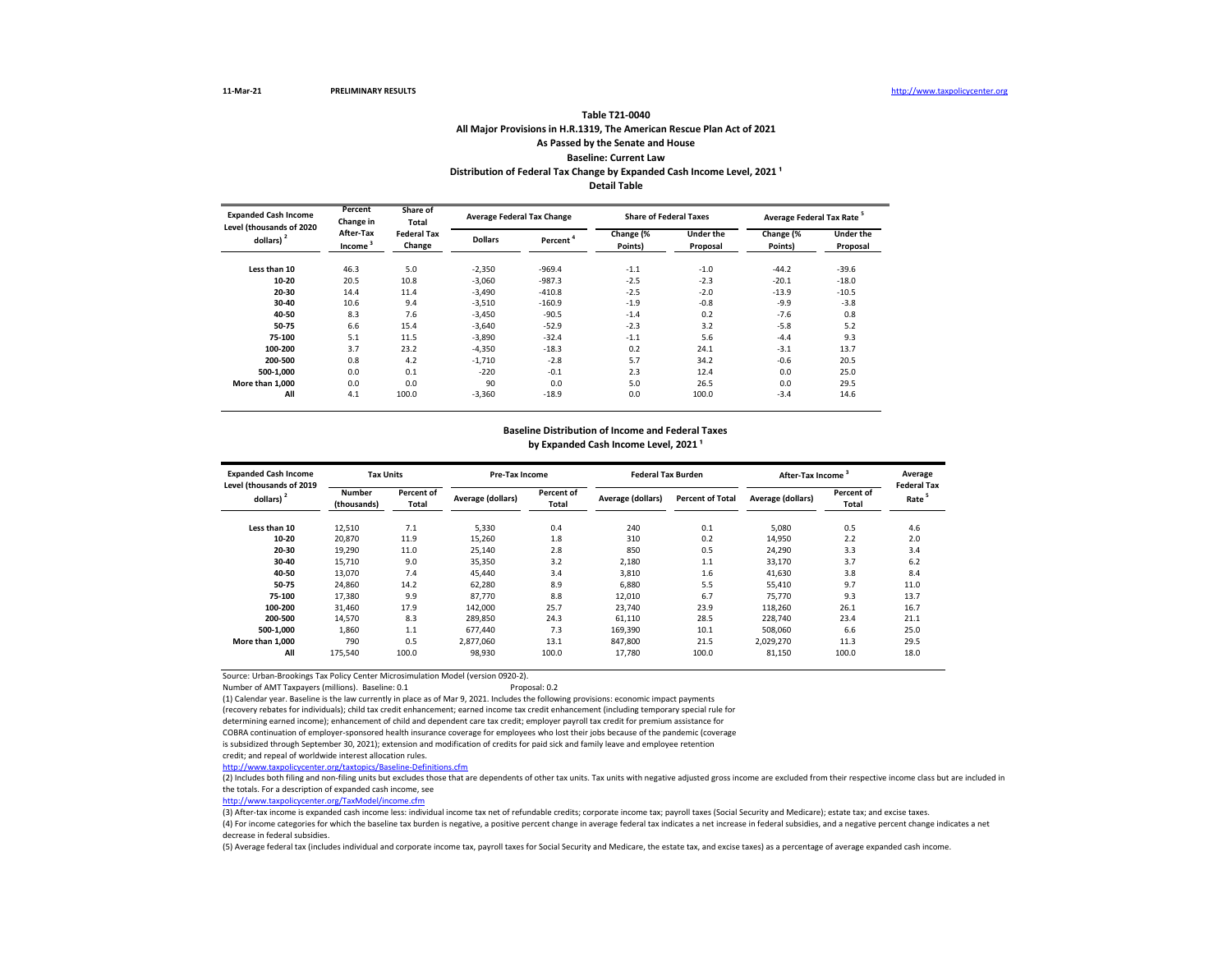## **All Major Provisions in H.R.1319, The American Rescue Plan Act of 2021 As Passed by the Senate and House Baseline: Current Law Table T21-0040** Distribution of Federal Tax Change by Expanded Cash Income Level, 2021<sup>1</sup>

**Detail Table**

| <b>Expanded Cash Income</b>              | Percent<br>Share of<br>Change in<br>Total |                              | <b>Average Federal Tax Change</b> |                      | <b>Share of Federal Taxes</b> |                       | Average Federal Tax Rate <sup>5</sup> |                       |
|------------------------------------------|-------------------------------------------|------------------------------|-----------------------------------|----------------------|-------------------------------|-----------------------|---------------------------------------|-----------------------|
| Level (thousands of 2020<br>dollars) $2$ | After-Tax<br>Income <sup>3</sup>          | <b>Federal Tax</b><br>Change | <b>Dollars</b>                    | Percent <sup>4</sup> | Change (%<br>Points)          | Under the<br>Proposal | Change (%<br>Points)                  | Under the<br>Proposal |
| Less than 10                             | 46.3                                      | 5.0                          | $-2.350$                          | $-969.4$             | $-1.1$                        | $-1.0$                | $-44.2$                               | $-39.6$               |
| 10-20                                    | 20.5                                      | 10.8                         | $-3,060$                          | $-987.3$             | $-2.5$                        | $-2.3$                | $-20.1$                               | $-18.0$               |
| 20-30                                    | 14.4                                      | 11.4                         | $-3.490$                          | $-410.8$             | $-2.5$                        | $-2.0$                | $-13.9$                               | $-10.5$               |
| 30-40                                    | 10.6                                      | 9.4                          | $-3,510$                          | $-160.9$             | $-1.9$                        | $-0.8$                | $-9.9$                                | $-3.8$                |
| 40-50                                    | 8.3                                       | 7.6                          | $-3.450$                          | $-90.5$              | $-1.4$                        | 0.2                   | $-7.6$                                | 0.8                   |
| 50-75                                    | 6.6                                       | 15.4                         | $-3.640$                          | $-52.9$              | $-2.3$                        | 3.2                   | $-5.8$                                | 5.2                   |
| 75-100                                   | 5.1                                       | 11.5                         | $-3.890$                          | $-32.4$              | $-1.1$                        | 5.6                   | $-4.4$                                | 9.3                   |
| 100-200                                  | 3.7                                       | 23.2                         | $-4.350$                          | $-18.3$              | 0.2                           | 24.1                  | $-3.1$                                | 13.7                  |
| 200-500                                  | 0.8                                       | 4.2                          | $-1.710$                          | $-2.8$               | 5.7                           | 34.2                  | $-0.6$                                | 20.5                  |
| 500-1.000                                | 0.0                                       | 0.1                          | $-220$                            | $-0.1$               | 2.3                           | 12.4                  | 0.0                                   | 25.0                  |
| More than 1.000                          | 0.0                                       | 0.0                          | 90                                | 0.0                  | 5.0                           | 26.5                  | 0.0                                   | 29.5                  |
| All                                      | 4.1                                       | 100.0                        | $-3,360$                          | $-18.9$              | 0.0                           | 100.0                 | $-3.4$                                | 14.6                  |

#### **Baseline Distribution of Income and Federal Taxes**

by Expanded Cash Income Level, 2021<sup>1</sup>

| <b>Expanded Cash Income</b><br>Level (thousands of 2019 | <b>Tax Units</b>             |                     | Pre-Tax Income    |                     | <b>Federal Tax Burden</b> |                         | After-Tax Income  |                     | Average<br><b>Federal Tax</b> |
|---------------------------------------------------------|------------------------------|---------------------|-------------------|---------------------|---------------------------|-------------------------|-------------------|---------------------|-------------------------------|
| dollars) <sup>2</sup>                                   | <b>Number</b><br>(thousands) | Percent of<br>Total | Average (dollars) | Percent of<br>Total | Average (dollars)         | <b>Percent of Total</b> | Average (dollars) | Percent of<br>Total | Rate <sup>5</sup>             |
| Less than 10                                            | 12,510                       | 7.1                 | 5,330             | 0.4                 | 240                       | 0.1                     | 5.080             | 0.5                 | 4.6                           |
| 10-20                                                   | 20,870                       | 11.9                | 15,260            | 1.8                 | 310                       | 0.2                     | 14,950            | 2.2                 | 2.0                           |
| 20-30                                                   | 19,290                       | 11.0                | 25,140            | 2.8                 | 850                       | 0.5                     | 24,290            | 3.3                 | 3.4                           |
| 30-40                                                   | 15.710                       | 9.0                 | 35,350            | 3.2                 | 2,180                     | 1.1                     | 33,170            | 3.7                 | 6.2                           |
| 40-50                                                   | 13,070                       | 7.4                 | 45,440            | 3.4                 | 3,810                     | 1.6                     | 41,630            | 3.8                 | 8.4                           |
| 50-75                                                   | 24,860                       | 14.2                | 62,280            | 8.9                 | 6,880                     | 5.5                     | 55,410            | 9.7                 | 11.0                          |
| 75-100                                                  | 17,380                       | 9.9                 | 87.770            | 8.8                 | 12,010                    | 6.7                     | 75.770            | 9.3                 | 13.7                          |
| 100-200                                                 | 31,460                       | 17.9                | 142,000           | 25.7                | 23.740                    | 23.9                    | 118,260           | 26.1                | 16.7                          |
| 200-500                                                 | 14,570                       | 8.3                 | 289.850           | 24.3                | 61,110                    | 28.5                    | 228.740           | 23.4                | 21.1                          |
| 500-1.000                                               | 1.860                        | 1.1                 | 677.440           | 7.3                 | 169.390                   | 10.1                    | 508,060           | 6.6                 | 25.0                          |
| More than 1.000                                         | 790                          | 0.5                 | 2.877.060         | 13.1                | 847.800                   | 21.5                    | 2,029,270         | 11.3                | 29.5                          |
| All                                                     | 175,540                      | 100.0               | 98,930            | 100.0               | 17.780                    | 100.0                   | 81,150            | 100.0               | 18.0                          |

Source: Urban-Brookings Tax Policy Center Microsimulation Model (version 0920-2).

Number of AMT Taxpayers (millions). Baseline: 0.1

(1) Calendar year. Baseline is the law currently in place as of Mar 9, 2021. Includes the following provisions: economic impact payments

(recovery rebates for individuals); child tax credit enhancement; earned income tax credit enhancement (including temporary special rule for

determining earned income); enhancement of child and dependent care tax credit; employer payroll tax credit for premium assistance for

COBRA continuation of employer-sponsored health insurance coverage for employees who lost their jobs because of the pandemic (coverage

is subsidized through September 30, 2021); extension and modification of credits for paid sick and family leave and employee retention

credit; and repeal of worldwide interest allocation rules.

<http://www.taxpolicycenter.org/taxtopics/Baseline-Definitions.cfm>

(2) Includes both filing and non-filing units but excludes those that are dependents of other tax units. Tax units with negative adjusted gross income are excluded from their respective income class but are included in the totals. For a description of expanded cash income, see

[http://www.taxpolicycente](http://www.taxpolicycenter.org/TaxModel/income.cfm)r.org/TaxModel/income.cfm

(3) After-tax income is expanded cash income less: individual income tax net of refundable credits; corporate income tax; payroll taxes (Social Security and Medicare); estate tax; and excise taxes.

(4) For income categories for which the baseline tax burden is negative, a positive percent change in average federal tax indicates a net increase in federal subsidies, and a negative percent change indicates a net decrease in federal subsidies.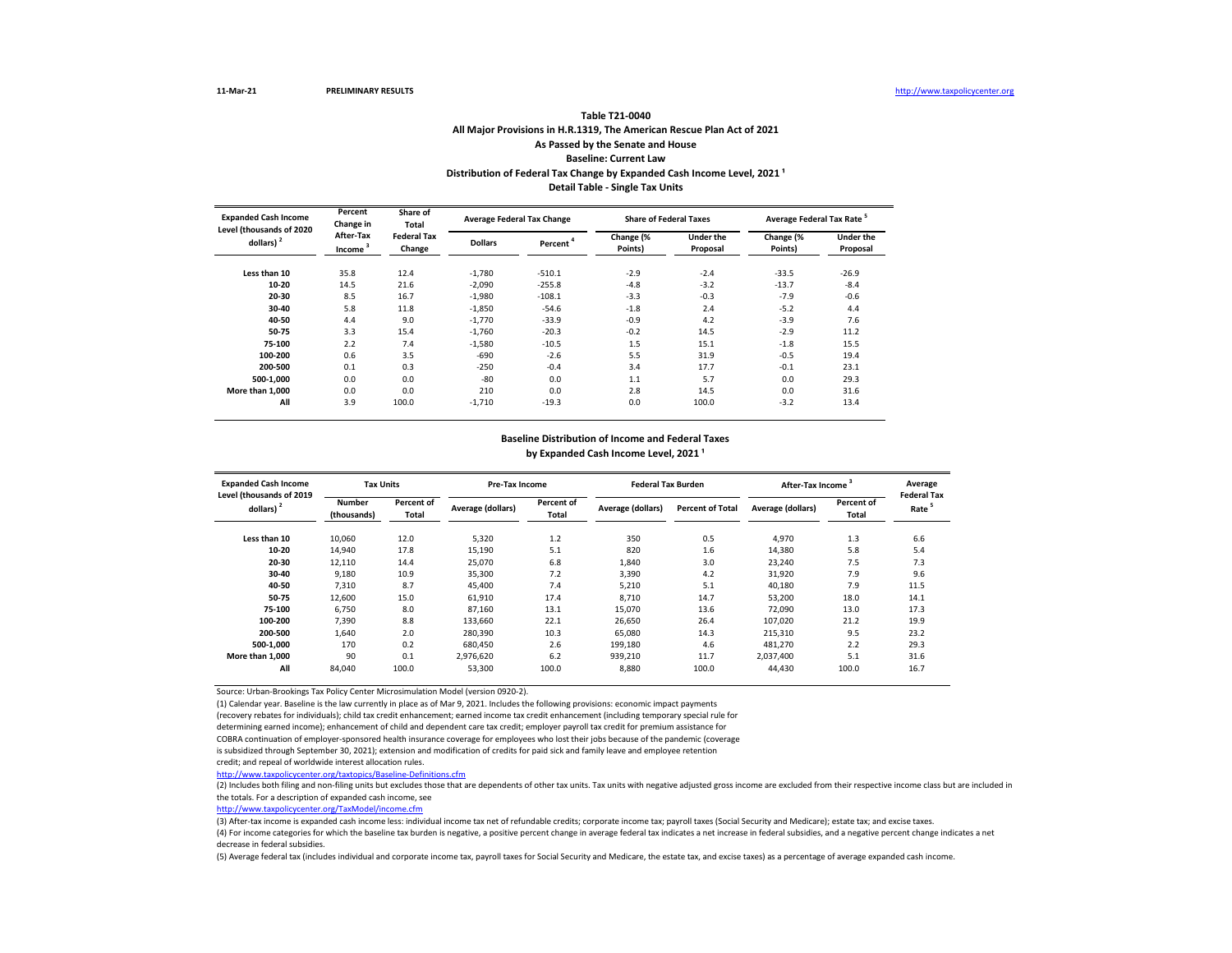### **All Major Provisions in H.R.1319, The American Rescue Plan Act of 2021 As Passed by the Senate and House Baseline: Current Law Table T21-0040** Distribution of Federal Tax Change by Expanded Cash Income Level, 2021<sup>1</sup> **Detail Table - Single Tax Units**

| <b>Expanded Cash Income</b><br>Level (thousands of 2020 | Percent<br>Change in             | Share of<br>Total            | <b>Average Federal Tax Change</b> |                      | <b>Share of Federal Taxes</b> |                              | Average Federal Tax Rate <sup>5</sup> |                              |
|---------------------------------------------------------|----------------------------------|------------------------------|-----------------------------------|----------------------|-------------------------------|------------------------------|---------------------------------------|------------------------------|
| dollars) $2$                                            | After-Tax<br>Income <sup>3</sup> | <b>Federal Tax</b><br>Change | <b>Dollars</b>                    | Percent <sup>4</sup> | Change (%<br>Points)          | <b>Under the</b><br>Proposal | Change (%<br>Points)                  | <b>Under the</b><br>Proposal |
| Less than 10                                            | 35.8                             | 12.4                         | $-1.780$                          | $-510.1$             | $-2.9$                        | $-2.4$                       | $-33.5$                               | $-26.9$                      |
| 10-20                                                   | 14.5                             | 21.6                         | $-2,090$                          | $-255.8$             | $-4.8$                        | $-3.2$                       | $-13.7$                               | $-8.4$                       |
| 20-30                                                   | 8.5                              | 16.7                         | $-1,980$                          | $-108.1$             | $-3.3$                        | $-0.3$                       | $-7.9$                                | $-0.6$                       |
| 30-40                                                   | 5.8                              | 11.8                         | $-1.850$                          | $-54.6$              | $-1.8$                        | 2.4                          | $-5.2$                                | 4.4                          |
| 40-50                                                   | 4.4                              | 9.0                          | $-1.770$                          | $-33.9$              | $-0.9$                        | 4.2                          | $-3.9$                                | 7.6                          |
| 50-75                                                   | 3.3                              | 15.4                         | $-1,760$                          | $-20.3$              | $-0.2$                        | 14.5                         | $-2.9$                                | 11.2                         |
| 75-100                                                  | 2.2                              | 7.4                          | $-1,580$                          | $-10.5$              | 1.5                           | 15.1                         | $-1.8$                                | 15.5                         |
| 100-200                                                 | 0.6                              | 3.5                          | $-690$                            | $-2.6$               | 5.5                           | 31.9                         | $-0.5$                                | 19.4                         |
| 200-500                                                 | 0.1                              | 0.3                          | $-250$                            | $-0.4$               | 3.4                           | 17.7                         | $-0.1$                                | 23.1                         |
| 500-1.000                                               | 0.0                              | 0.0                          | -80                               | 0.0                  | 1.1                           | 5.7                          | 0.0                                   | 29.3                         |
| More than 1.000                                         | 0.0                              | 0.0                          | 210                               | 0.0                  | 2.8                           | 14.5                         | 0.0                                   | 31.6                         |
| All                                                     | 3.9                              | 100.0                        | $-1.710$                          | $-19.3$              | 0.0                           | 100.0                        | $-3.2$                                | 13.4                         |

## **Baseline Distribution of Income and Federal Taxes**

by Expanded Cash Income Level, 2021<sup>1</sup>

| <b>Expanded Cash Income</b><br>Level (thousands of 2019 | <b>Tax Units</b>             |                     | Pre-Tax Income    |                     | <b>Federal Tax Burden</b> |                         | After-Tax Income <sup>3</sup> |                     | Average<br><b>Federal Tax</b> |
|---------------------------------------------------------|------------------------------|---------------------|-------------------|---------------------|---------------------------|-------------------------|-------------------------------|---------------------|-------------------------------|
| dollars) $2$                                            | <b>Number</b><br>(thousands) | Percent of<br>Total | Average (dollars) | Percent of<br>Total | Average (dollars)         | <b>Percent of Total</b> | Average (dollars)             | Percent of<br>Total | Rate <sup>5</sup>             |
| Less than 10                                            | 10,060                       | 12.0                | 5,320             | 1.2                 | 350                       | 0.5                     | 4,970                         | 1.3                 | 6.6                           |
| 10-20                                                   | 14,940                       | 17.8                | 15,190            | 5.1                 | 820                       | 1.6                     | 14,380                        | 5.8                 | 5.4                           |
| 20-30                                                   | 12,110                       | 14.4                | 25,070            | 6.8                 | 1,840                     | 3.0                     | 23,240                        | 7.5                 | 7.3                           |
| 30-40                                                   | 9,180                        | 10.9                | 35,300            | 7.2                 | 3,390                     | 4.2                     | 31,920                        | 7.9                 | 9.6                           |
| 40-50                                                   | 7,310                        | 8.7                 | 45,400            | 7.4                 | 5,210                     | 5.1                     | 40,180                        | 7.9                 | 11.5                          |
| 50-75                                                   | 12,600                       | 15.0                | 61,910            | 17.4                | 8,710                     | 14.7                    | 53,200                        | 18.0                | 14.1                          |
| 75-100                                                  | 6.750                        | 8.0                 | 87.160            | 13.1                | 15.070                    | 13.6                    | 72.090                        | 13.0                | 17.3                          |
| 100-200                                                 | 7,390                        | 8.8                 | 133,660           | 22.1                | 26,650                    | 26.4                    | 107,020                       | 21.2                | 19.9                          |
| 200-500                                                 | 1.640                        | 2.0                 | 280,390           | 10.3                | 65.080                    | 14.3                    | 215,310                       | 9.5                 | 23.2                          |
| 500-1.000                                               | 170                          | 0.2                 | 680.450           | 2.6                 | 199.180                   | 4.6                     | 481.270                       | 2.2                 | 29.3                          |
| More than 1.000                                         | 90                           | 0.1                 | 2.976.620         | 6.2                 | 939.210                   | 11.7                    | 2.037.400                     | 5.1                 | 31.6                          |
| All                                                     | 84,040                       | 100.0               | 53,300            | 100.0               | 8,880                     | 100.0                   | 44,430                        | 100.0               | 16.7                          |

Source: Urban-Brookings Tax Policy Center Microsimulation Model (version 0920-2).

(1) Calendar year. Baseline is the law currently in place as of Mar 9, 2021. Includes the following provisions: economic impact payments

(recovery rebates for individuals); child tax credit enhancement; earned income tax credit enhancement (including temporary special rule for

determining earned income); enhancement of child and dependent care tax credit; employer payroll tax credit for premium assistance for

COBRA continuation of employer-sponsored health insurance coverage for employees who lost their jobs because of the pandemic (coverage

is subsidized through September 30, 2021); extension and modification of credits for paid sick and family leave and employee retention

credit; and repeal of worldwide interest allocation rules.

<http://www.taxpolicycenter.org/taxtopics/Baseline-Definitions.cfm>

(2) Includes both filing and non-filing units but excludes those that are dependents of other tax units. Tax units with negative adjusted gross income are excluded from their respective income class but are included in the totals. For a description of expanded cash income, see

[http://www.taxpolicycente](http://www.taxpolicycenter.org/TaxModel/income.cfm)r.org/TaxModel/income.cfm

(3) After-tax income is expanded cash income less: individual income tax net of refundable credits; corporate income tax; payroll taxes (Social Security and Medicare); estate tax; and excise taxes.

(4) For income categories for which the baseline tax burden is negative, a positive percent change in average federal tax indicates a net increase in federal subsidies, and a negative percent change indicates a net decrease in federal subsidies.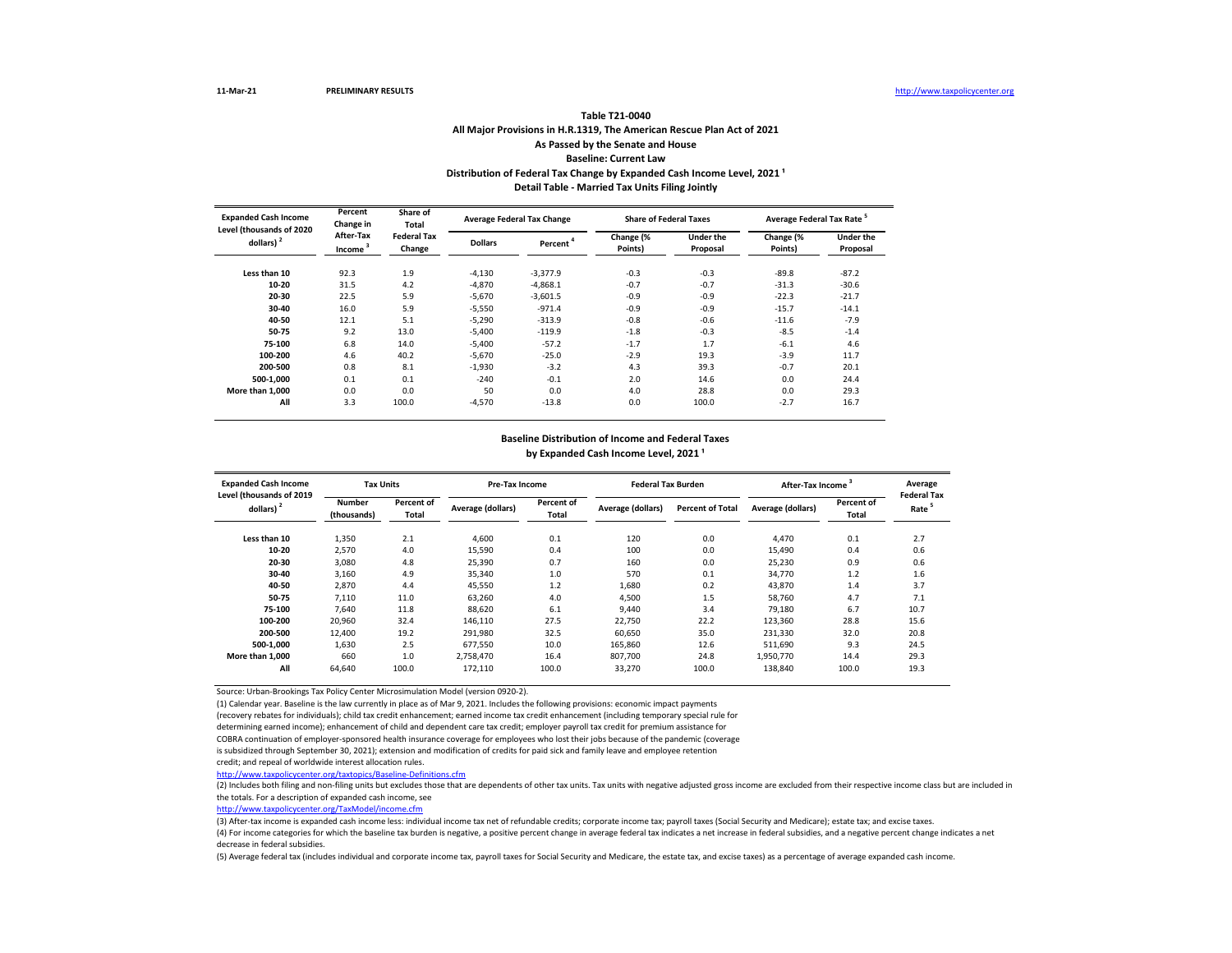### **All Major Provisions in H.R.1319, The American Rescue Plan Act of 2021 As Passed by the Senate and House Baseline: Current Law Table T21-0040** Distribution of Federal Tax Change by Expanded Cash Income Level, 2021<sup>1</sup> **Detail Table - Married Tax Units Filing Jointly**

| <b>Expanded Cash Income</b><br>Level (thousands of 2020 | Percent<br>Change in             | Share of<br>Total            |                | <b>Average Federal Tax Change</b> | <b>Share of Federal Taxes</b> |                              | Average Federal Tax Rate <sup>5</sup> |                              |
|---------------------------------------------------------|----------------------------------|------------------------------|----------------|-----------------------------------|-------------------------------|------------------------------|---------------------------------------|------------------------------|
| dollars) $2$                                            | After-Tax<br>Income <sup>3</sup> | <b>Federal Tax</b><br>Change | <b>Dollars</b> | Percent <sup>4</sup>              | Change (%<br>Points)          | <b>Under the</b><br>Proposal | Change (%<br>Points)                  | <b>Under the</b><br>Proposal |
| Less than 10                                            | 92.3                             | 1.9                          | $-4,130$       | $-3,377.9$                        | $-0.3$                        | $-0.3$                       | $-89.8$                               | $-87.2$                      |
| 10-20                                                   | 31.5                             | 4.2                          | $-4.870$       | $-4,868.1$                        | $-0.7$                        | $-0.7$                       | $-31.3$                               | $-30.6$                      |
| 20-30                                                   | 22.5                             | 5.9                          | $-5,670$       | $-3,601.5$                        | $-0.9$                        | $-0.9$                       | $-22.3$                               | $-21.7$                      |
| 30-40                                                   | 16.0                             | 5.9                          | $-5,550$       | $-971.4$                          | $-0.9$                        | $-0.9$                       | $-15.7$                               | $-14.1$                      |
| 40-50                                                   | 12.1                             | 5.1                          | $-5.290$       | $-313.9$                          | $-0.8$                        | $-0.6$                       | $-11.6$                               | $-7.9$                       |
| 50-75                                                   | 9.2                              | 13.0                         | $-5.400$       | $-119.9$                          | $-1.8$                        | $-0.3$                       | $-8.5$                                | $-1.4$                       |
| 75-100                                                  | 6.8                              | 14.0                         | $-5,400$       | $-57.2$                           | $-1.7$                        | 1.7                          | $-6.1$                                | 4.6                          |
| 100-200                                                 | 4.6                              | 40.2                         | $-5,670$       | $-25.0$                           | $-2.9$                        | 19.3                         | $-3.9$                                | 11.7                         |
| 200-500                                                 | 0.8                              | 8.1                          | $-1,930$       | $-3.2$                            | 4.3                           | 39.3                         | $-0.7$                                | 20.1                         |
| 500-1,000                                               | 0.1                              | 0.1                          | $-240$         | $-0.1$                            | 2.0                           | 14.6                         | 0.0                                   | 24.4                         |
| More than 1.000                                         | 0.0                              | 0.0                          | 50             | 0.0                               | 4.0                           | 28.8                         | 0.0                                   | 29.3                         |
| All                                                     | 3.3                              | 100.0                        | $-4.570$       | $-13.8$                           | 0.0                           | 100.0                        | $-2.7$                                | 16.7                         |

# **Baseline Distribution of Income and Federal Taxes**

by Expanded Cash Income Level, 2021<sup>1</sup>

| <b>Expanded Cash Income</b><br>Level (thousands of 2019 | <b>Tax Units</b>             |                     | <b>Pre-Tax Income</b> |                     | <b>Federal Tax Burden</b> |                         | After-Tax Income  | Average<br><b>Federal Tax</b> |                   |
|---------------------------------------------------------|------------------------------|---------------------|-----------------------|---------------------|---------------------------|-------------------------|-------------------|-------------------------------|-------------------|
| dollars) $2$                                            | <b>Number</b><br>(thousands) | Percent of<br>Total | Average (dollars)     | Percent of<br>Total | Average (dollars)         | <b>Percent of Total</b> | Average (dollars) | Percent of<br>Total           | Rate <sup>5</sup> |
| Less than 10                                            | 1,350                        | 2.1                 | 4,600                 | 0.1                 | 120                       | 0.0                     | 4,470             | 0.1                           | 2.7               |
| 10-20                                                   | 2,570                        | 4.0                 | 15,590                | 0.4                 | 100                       | 0.0                     | 15,490            | 0.4                           | 0.6               |
| 20-30                                                   | 3.080                        | 4.8                 | 25,390                | 0.7                 | 160                       | 0.0                     | 25,230            | 0.9                           | 0.6               |
| 30-40                                                   | 3,160                        | 4.9                 | 35,340                | 1.0                 | 570                       | 0.1                     | 34,770            | 1.2                           | 1.6               |
| 40-50                                                   | 2,870                        | 4.4                 | 45,550                | 1.2                 | 1,680                     | 0.2                     | 43,870            | 1.4                           | 3.7               |
| 50-75                                                   | 7,110                        | 11.0                | 63,260                | 4.0                 | 4,500                     | 1.5                     | 58,760            | 4.7                           | 7.1               |
| 75-100                                                  | 7.640                        | 11.8                | 88,620                | 6.1                 | 9.440                     | 3.4                     | 79,180            | 6.7                           | 10.7              |
| 100-200                                                 | 20,960                       | 32.4                | 146,110               | 27.5                | 22.750                    | 22.2                    | 123,360           | 28.8                          | 15.6              |
| 200-500                                                 | 12,400                       | 19.2                | 291,980               | 32.5                | 60.650                    | 35.0                    | 231,330           | 32.0                          | 20.8              |
| 500-1.000                                               | 1,630                        | 2.5                 | 677.550               | 10.0                | 165.860                   | 12.6                    | 511.690           | 9.3                           | 24.5              |
| More than 1.000                                         | 660                          | 1.0                 | 2.758.470             | 16.4                | 807.700                   | 24.8                    | 1,950,770         | 14.4                          | 29.3              |
| All                                                     | 64,640                       | 100.0               | 172,110               | 100.0               | 33,270                    | 100.0                   | 138,840           | 100.0                         | 19.3              |

Source: Urban-Brookings Tax Policy Center Microsimulation Model (version 0920-2).

(1) Calendar year. Baseline is the law currently in place as of Mar 9, 2021. Includes the following provisions: economic impact payments

(recovery rebates for individuals); child tax credit enhancement; earned income tax credit enhancement (including temporary special rule for

determining earned income); enhancement of child and dependent care tax credit; employer payroll tax credit for premium assistance for

COBRA continuation of employer-sponsored health insurance coverage for employees who lost their jobs because of the pandemic (coverage

is subsidized through September 30, 2021); extension and modification of credits for paid sick and family leave and employee retention

credit; and repeal of worldwide interest allocation rules.

<http://www.taxpolicycenter.org/taxtopics/Baseline-Definitions.cfm>

(2) Includes both filing and non-filing units but excludes those that are dependents of other tax units. Tax units with negative adjusted gross income are excluded from their respective income class but are included in the totals. For a description of expanded cash income, see

[http://www.taxpolicycente](http://www.taxpolicycenter.org/TaxModel/income.cfm)r.org/TaxModel/income.cfm

(3) After-tax income is expanded cash income less: individual income tax net of refundable credits; corporate income tax; payroll taxes (Social Security and Medicare); estate tax; and excise taxes.

(4) For income categories for which the baseline tax burden is negative, a positive percent change in average federal tax indicates a net increase in federal subsidies, and a negative percent change indicates a net decrease in federal subsidies.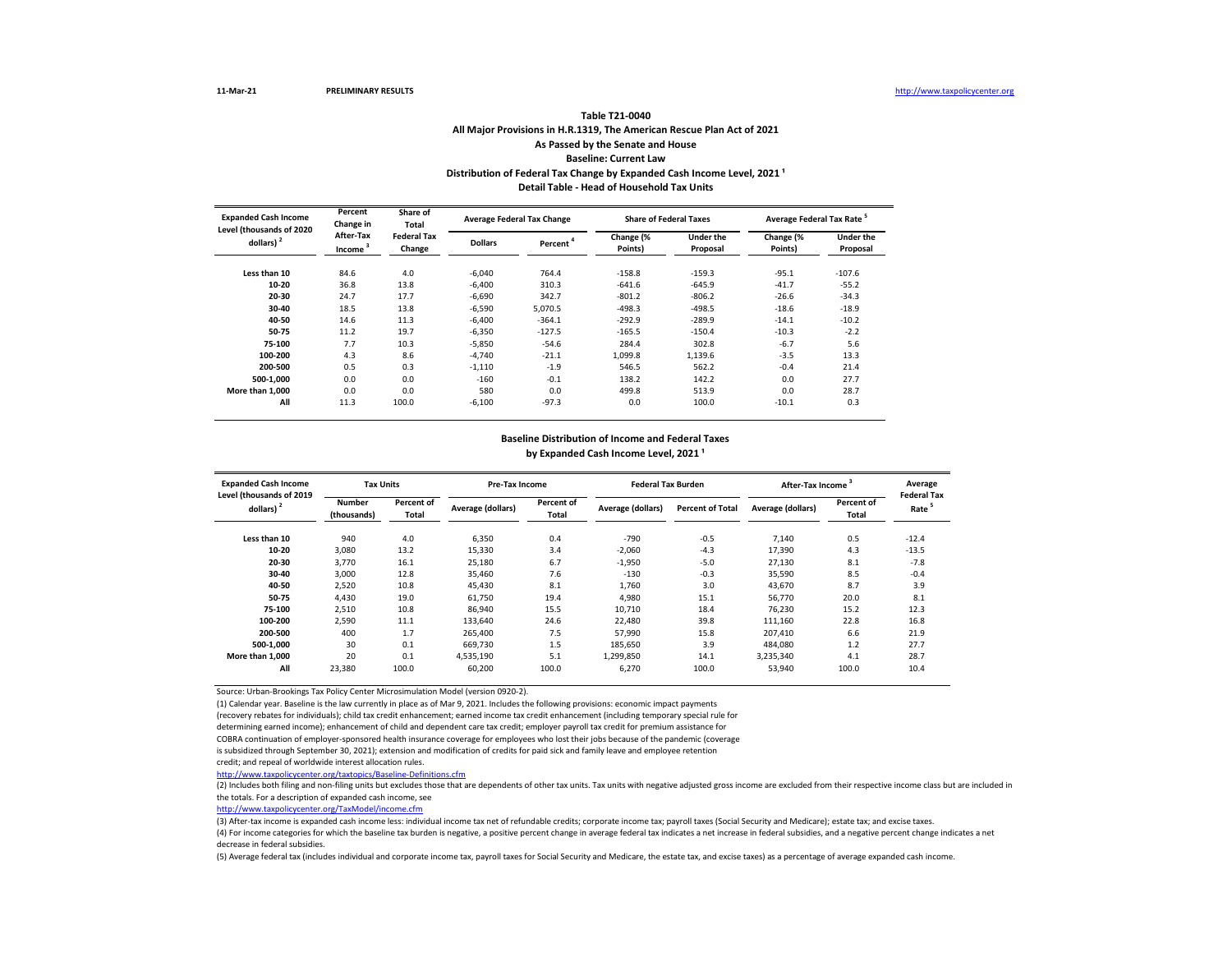### **All Major Provisions in H.R.1319, The American Rescue Plan Act of 2021 As Passed by the Senate and House Baseline: Current Law Table T21-0040** Distribution of Federal Tax Change by Expanded Cash Income Level, 2021<sup>1</sup> **Detail Table - Head of Household Tax Units**

| <b>Expanded Cash Income</b><br>Level (thousands of 2020 | Percent<br>Change in             | Share of<br>Total            |                | <b>Average Federal Tax Change</b> | <b>Share of Federal Taxes</b> |                              | Average Federal Tax Rate <sup>5</sup> |                              |  |
|---------------------------------------------------------|----------------------------------|------------------------------|----------------|-----------------------------------|-------------------------------|------------------------------|---------------------------------------|------------------------------|--|
| dollars) <sup>2</sup>                                   | After-Tax<br>Income <sup>3</sup> | <b>Federal Tax</b><br>Change | <b>Dollars</b> | Percent <sup>4</sup>              | Change (%<br>Points)          | <b>Under the</b><br>Proposal | Change (%<br>Points)                  | <b>Under the</b><br>Proposal |  |
| Less than 10                                            | 84.6                             | 4.0                          | $-6,040$       | 764.4                             | $-158.8$                      | $-159.3$                     | $-95.1$                               | $-107.6$                     |  |
| 10-20                                                   | 36.8                             | 13.8                         | $-6,400$       | 310.3                             | $-641.6$                      | $-645.9$                     | $-41.7$                               | $-55.2$                      |  |
| 20-30                                                   | 24.7                             | 17.7                         | $-6.690$       | 342.7                             | $-801.2$                      | $-806.2$                     | $-26.6$                               | $-34.3$                      |  |
| 30-40                                                   | 18.5                             | 13.8                         | $-6.590$       | 5.070.5                           | $-498.3$                      | $-498.5$                     | $-18.6$                               | $-18.9$                      |  |
| 40-50                                                   | 14.6                             | 11.3                         | $-6.400$       | $-364.1$                          | $-292.9$                      | $-289.9$                     | $-14.1$                               | $-10.2$                      |  |
| 50-75                                                   | 11.2                             | 19.7                         | $-6,350$       | $-127.5$                          | $-165.5$                      | $-150.4$                     | $-10.3$                               | $-2.2$                       |  |
| 75-100                                                  | 7.7                              | 10.3                         | $-5,850$       | $-54.6$                           | 284.4                         | 302.8                        | $-6.7$                                | 5.6                          |  |
| 100-200                                                 | 4.3                              | 8.6                          | $-4.740$       | $-21.1$                           | 1,099.8                       | 1,139.6                      | $-3.5$                                | 13.3                         |  |
| 200-500                                                 | 0.5                              | 0.3                          | $-1,110$       | $-1.9$                            | 546.5                         | 562.2                        | $-0.4$                                | 21.4                         |  |
| 500-1.000                                               | 0.0                              | 0.0                          | $-160$         | $-0.1$                            | 138.2                         | 142.2                        | 0.0                                   | 27.7                         |  |
| More than 1.000                                         | 0.0                              | 0.0                          | 580            | 0.0                               | 499.8                         | 513.9                        | 0.0                                   | 28.7                         |  |
| All                                                     | 11.3                             | 100.0                        | $-6,100$       | $-97.3$                           | 0.0                           | 100.0                        | $-10.1$                               | 0.3                          |  |

## **Baseline Distribution of Income and Federal Taxes**

by Expanded Cash Income Level, 2021<sup>1</sup>

| <b>Expanded Cash Income</b><br>Level (thousands of 2019 | <b>Tax Units</b>             |                     | Pre-Tax Income    |                            | <b>Federal Tax Burden</b> |                         | <b>After-Tax Income</b> | Average<br><b>Federal Tax</b> |         |
|---------------------------------------------------------|------------------------------|---------------------|-------------------|----------------------------|---------------------------|-------------------------|-------------------------|-------------------------------|---------|
| dollars) <sup>2</sup>                                   | <b>Number</b><br>(thousands) | Percent of<br>Total | Average (dollars) | Percent of<br><b>Total</b> | Average (dollars)         | <b>Percent of Total</b> | Average (dollars)       | Percent of<br>Total           | Rate    |
| Less than 10                                            | 940                          | 4.0                 | 6,350             | 0.4                        | $-790$                    | $-0.5$                  | 7,140                   | 0.5                           | $-12.4$ |
| 10-20                                                   | 3,080                        | 13.2                | 15,330            | 3.4                        | $-2,060$                  | $-4.3$                  | 17,390                  | 4.3                           | $-13.5$ |
| 20-30                                                   | 3.770                        | 16.1                | 25,180            | 6.7                        | $-1,950$                  | $-5.0$                  | 27.130                  | 8.1                           | $-7.8$  |
| 30-40                                                   | 3.000                        | 12.8                | 35,460            | 7.6                        | $-130$                    | $-0.3$                  | 35,590                  | 8.5                           | $-0.4$  |
| 40-50                                                   | 2,520                        | 10.8                | 45.430            | 8.1                        | 1.760                     | 3.0                     | 43,670                  | 8.7                           | 3.9     |
| 50-75                                                   | 4,430                        | 19.0                | 61,750            | 19.4                       | 4,980                     | 15.1                    | 56,770                  | 20.0                          | 8.1     |
| 75-100                                                  | 2,510                        | 10.8                | 86,940            | 15.5                       | 10.710                    | 18.4                    | 76.230                  | 15.2                          | 12.3    |
| 100-200                                                 | 2,590                        | 11.1                | 133.640           | 24.6                       | 22.480                    | 39.8                    | 111.160                 | 22.8                          | 16.8    |
| 200-500                                                 | 400                          | 1.7                 | 265,400           | 7.5                        | 57.990                    | 15.8                    | 207,410                 | 6.6                           | 21.9    |
| 500-1.000                                               | 30                           | 0.1                 | 669.730           | 1.5                        | 185.650                   | 3.9                     | 484,080                 | 1.2                           | 27.7    |
| More than 1.000                                         | 20                           | 0.1                 | 4,535,190         | 5.1                        | 1,299,850                 | 14.1                    | 3,235,340               | 4.1                           | 28.7    |
| All                                                     | 23,380                       | 100.0               | 60,200            | 100.0                      | 6,270                     | 100.0                   | 53,940                  | 100.0                         | 10.4    |

Source: Urban-Brookings Tax Policy Center Microsimulation Model (version 0920-2).

(1) Calendar year. Baseline is the law currently in place as of Mar 9, 2021. Includes the following provisions: economic impact payments

(recovery rebates for individuals); child tax credit enhancement; earned income tax credit enhancement (including temporary special rule for

determining earned income); enhancement of child and dependent care tax credit; employer payroll tax credit for premium assistance for

COBRA continuation of employer-sponsored health insurance coverage for employees who lost their jobs because of the pandemic (coverage

is subsidized through September 30, 2021); extension and modification of credits for paid sick and family leave and employee retention

credit; and repeal of worldwide interest allocation rules.

<http://www.taxpolicycenter.org/taxtopics/Baseline-Definitions.cfm>

(2) Includes both filing and non-filing units but excludes those that are dependents of other tax units. Tax units with negative adjusted gross income are excluded from their respective income class but are included in the totals. For a description of expanded cash income, see

[http://www.taxpolicycente](http://www.taxpolicycenter.org/TaxModel/income.cfm)r.org/TaxModel/income.cfm

(3) After-tax income is expanded cash income less: individual income tax net of refundable credits; corporate income tax; payroll taxes (Social Security and Medicare); estate tax; and excise taxes.

(4) For income categories for which the baseline tax burden is negative, a positive percent change in average federal tax indicates a net increase in federal subsidies, and a negative percent change indicates a net decrease in federal subsidies.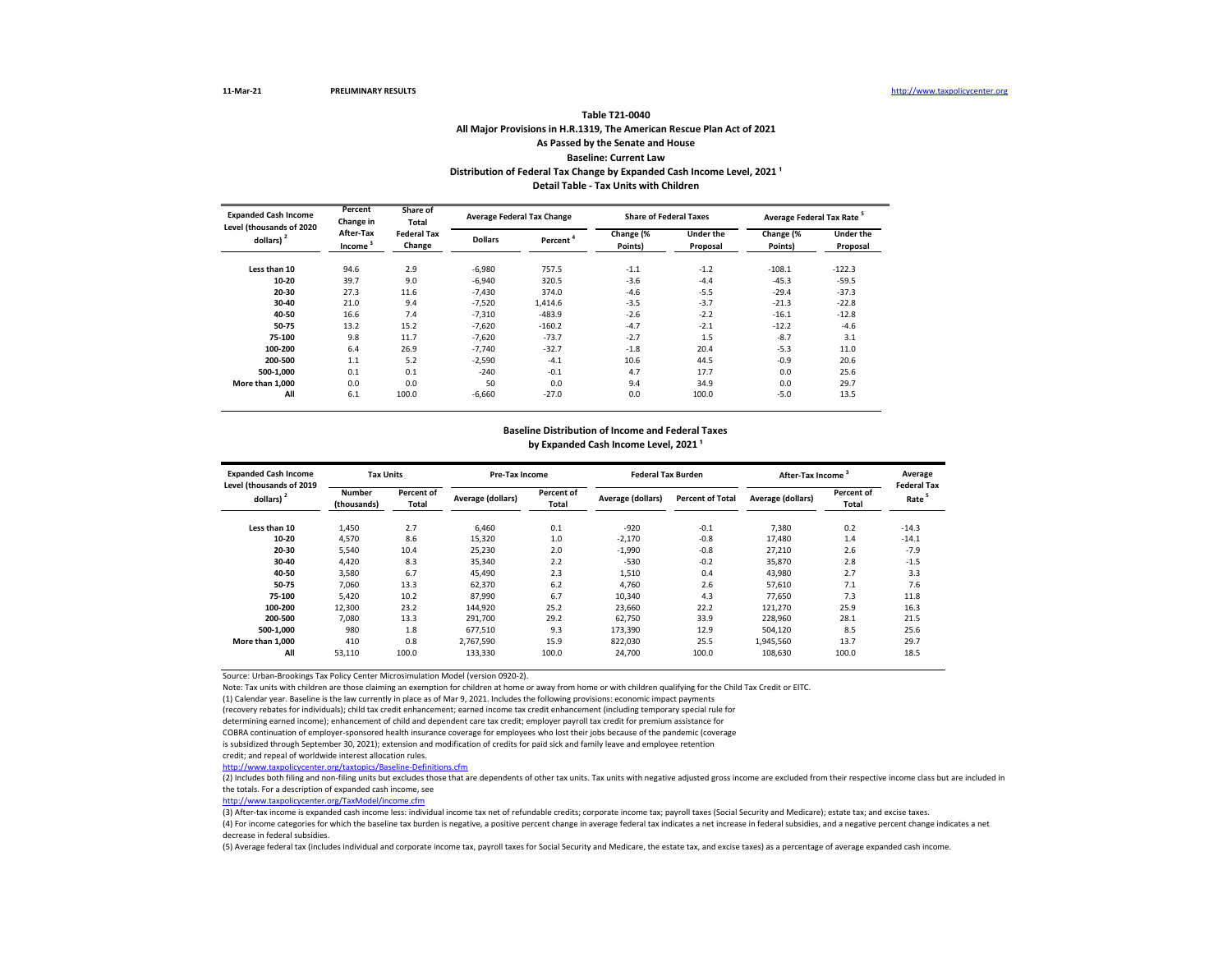#### **All Major Provisions in H.R.1319, The American Rescue Plan Act of 2021 As Passed by the Senate and House Baseline: Current Law Table T21-0040** Distribution of Federal Tax Change by Expanded Cash Income Level, 2021<sup>1</sup> **Detail Table - Tax Units with Children**

| <b>Expanded Cash Income</b>              | Percent<br>Change in             | Share of<br>Total<br><b>Federal Tax</b><br>Change |                | <b>Average Federal Tax Change</b> |                      | <b>Share of Federal Taxes</b> | Average Federal Tax Rate <sup>5</sup> |                       |
|------------------------------------------|----------------------------------|---------------------------------------------------|----------------|-----------------------------------|----------------------|-------------------------------|---------------------------------------|-----------------------|
| Level (thousands of 2020<br>dollars) $2$ | After-Tax<br>Income <sup>3</sup> |                                                   | <b>Dollars</b> | Percent <sup>*</sup>              | Change (%<br>Points) | Under the<br>Proposal         | Change (%<br>Points)                  | Under the<br>Proposal |
| Less than 10                             | 94.6                             | 2.9                                               | $-6.980$       | 757.5                             | $-1.1$               | $-1.2$                        | $-108.1$                              | $-122.3$              |
| 10-20                                    | 39.7                             | 9.0                                               | $-6.940$       | 320.5                             | $-3.6$               | $-4.4$                        | $-45.3$                               | $-59.5$               |
| 20-30                                    | 27.3                             | 11.6                                              | $-7.430$       | 374.0                             | $-4.6$               | $-5.5$                        | $-29.4$                               | $-37.3$               |
| 30-40                                    | 21.0                             | 9.4                                               | $-7.520$       | 1.414.6                           | $-3.5$               | $-3.7$                        | $-21.3$                               | $-22.8$               |
| 40-50                                    | 16.6                             | 7.4                                               | $-7.310$       | $-483.9$                          | $-2.6$               | $-2.2$                        | $-16.1$                               | $-12.8$               |
| 50-75                                    | 13.2                             | 15.2                                              | $-7,620$       | $-160.2$                          | $-4.7$               | $-2.1$                        | $-12.2$                               | $-4.6$                |
| 75-100                                   | 9.8                              | 11.7                                              | $-7.620$       | $-73.7$                           | $-2.7$               | 1.5                           | $-8.7$                                | 3.1                   |
| 100-200                                  | 6.4                              | 26.9                                              | $-7.740$       | $-32.7$                           | $-1.8$               | 20.4                          | $-5.3$                                | 11.0                  |
| 200-500                                  | 1.1                              | 5.2                                               | $-2.590$       | $-4.1$                            | 10.6                 | 44.5                          | $-0.9$                                | 20.6                  |
| 500-1.000                                | 0.1                              | 0.1                                               | $-240$         | $-0.1$                            | 4.7                  | 17.7                          | 0.0                                   | 25.6                  |
| More than 1.000                          | 0.0                              | 0.0                                               | 50             | 0.0                               | 9.4                  | 34.9                          | 0.0                                   | 29.7                  |
| All                                      | 6.1                              | 100.0                                             | $-6.660$       | $-27.0$                           | 0.0                  | 100.0                         | $-5.0$                                | 13.5                  |

#### **Baseline Distribution of Income and Federal Taxes**

by Expanded Cash Income Level, 2021<sup>1</sup>

| <b>Expanded Cash Income</b><br>Level (thousands of 2019 | <b>Tax Units</b>             |                     |                   | <b>Pre-Tax Income</b>      |                   | <b>Federal Tax Burden</b> | After-Tax Income  |                     | Average<br><b>Federal Tax</b> |
|---------------------------------------------------------|------------------------------|---------------------|-------------------|----------------------------|-------------------|---------------------------|-------------------|---------------------|-------------------------------|
| dollars) $2$                                            | <b>Number</b><br>(thousands) | Percent of<br>Total | Average (dollars) | Percent of<br><b>Total</b> | Average (dollars) | <b>Percent of Total</b>   | Average (dollars) | Percent of<br>Total | Rate <sup>5</sup>             |
| Less than 10                                            | 1,450                        | 2.7                 | 6.460             | 0.1                        | $-920$            | $-0.1$                    | 7.380             | 0.2                 | $-14.3$                       |
| 10-20                                                   | 4,570                        | 8.6                 | 15,320            | 1.0                        | $-2,170$          | $-0.8$                    | 17.480            | 1.4                 | $-14.1$                       |
| 20-30                                                   | 5.540                        | 10.4                | 25.230            | 2.0                        | $-1,990$          | $-0.8$                    | 27.210            | 2.6                 | $-7.9$                        |
| 30-40                                                   | 4.420                        | 8.3                 | 35.340            | 2.2                        | $-530$            | $-0.2$                    | 35.870            | 2.8                 | $-1.5$                        |
| 40-50                                                   | 3,580                        | 6.7                 | 45.490            | 2.3                        | 1,510             | 0.4                       | 43,980            | 2.7                 | 3.3                           |
| 50-75                                                   | 7.060                        | 13.3                | 62,370            | 6.2                        | 4,760             | 2.6                       | 57,610            | 7.1                 | 7.6                           |
| 75-100                                                  | 5.420                        | 10.2                | 87.990            | 6.7                        | 10,340            | 4.3                       | 77.650            | 7.3                 | 11.8                          |
| 100-200                                                 | 12,300                       | 23.2                | 144,920           | 25.2                       | 23.660            | 22.2                      | 121,270           | 25.9                | 16.3                          |
| 200-500                                                 | 7.080                        | 13.3                | 291.700           | 29.2                       | 62.750            | 33.9                      | 228,960           | 28.1                | 21.5                          |
| 500-1.000                                               | 980                          | 1.8                 | 677.510           | 9.3                        | 173.390           | 12.9                      | 504,120           | 8.5                 | 25.6                          |
| More than 1.000                                         | 410                          | 0.8                 | 2.767.590         | 15.9                       | 822.030           | 25.5                      | 1,945,560         | 13.7                | 29.7                          |
| All                                                     | 53,110                       | 100.0               | 133,330           | 100.0                      | 24,700            | 100.0                     | 108,630           | 100.0               | 18.5                          |

Source: Urban-Brookings Tax Policy Center Microsimulation Model (version 0920-2).

Note: Tax units with children are those claiming an exemption for children at home or away from home or with children qualifying for the Child Tax Credit or EITC.

(1) Calendar year. Baseline is the law currently in place as of Mar 9, 2021. Includes the following provisions: economic impact payments

(recovery rebates for individuals); child tax credit enhancement; earned income tax credit enhancement (including temporary special rule for

determining earned income); enhancement of child and dependent care tax credit; employer payroll tax credit for premium assistance for

COBRA continuation of employer-sponsored health insurance coverage for employees who lost their jobs because of the pandemic (coverage

is subsidized through September 30, 2021); extension and modification of credits for paid sick and family leave and employee retention

credit; and repeal of worldwide interest allocation rules.

<http://www.taxpolicycenter.org/taxtopics/Baseline-Definitions.cfm>

(2) Includes both filing and non-filing units but excludes those that are dependents of other tax units. Tax units with negative adjusted gross income are excluded from their respective income class but are included in the totals. For a description of expanded cash income, see

[http://www.taxpolicycente](http://www.taxpolicycenter.org/TaxModel/income.cfm)r.org/TaxModel/income.cfm

(3) After-tax income is expanded cash income less: individual income tax net of refundable credits; corporate income tax; payroll taxes (Social Security and Medicare); estate tax; and excise taxes.

(4) For income categories for which the baseline tax burden is negative, a positive percent change in average federal tax indicates a net increase in federal subsidies, and a negative percent change indicates a net decrease in federal subsidies.